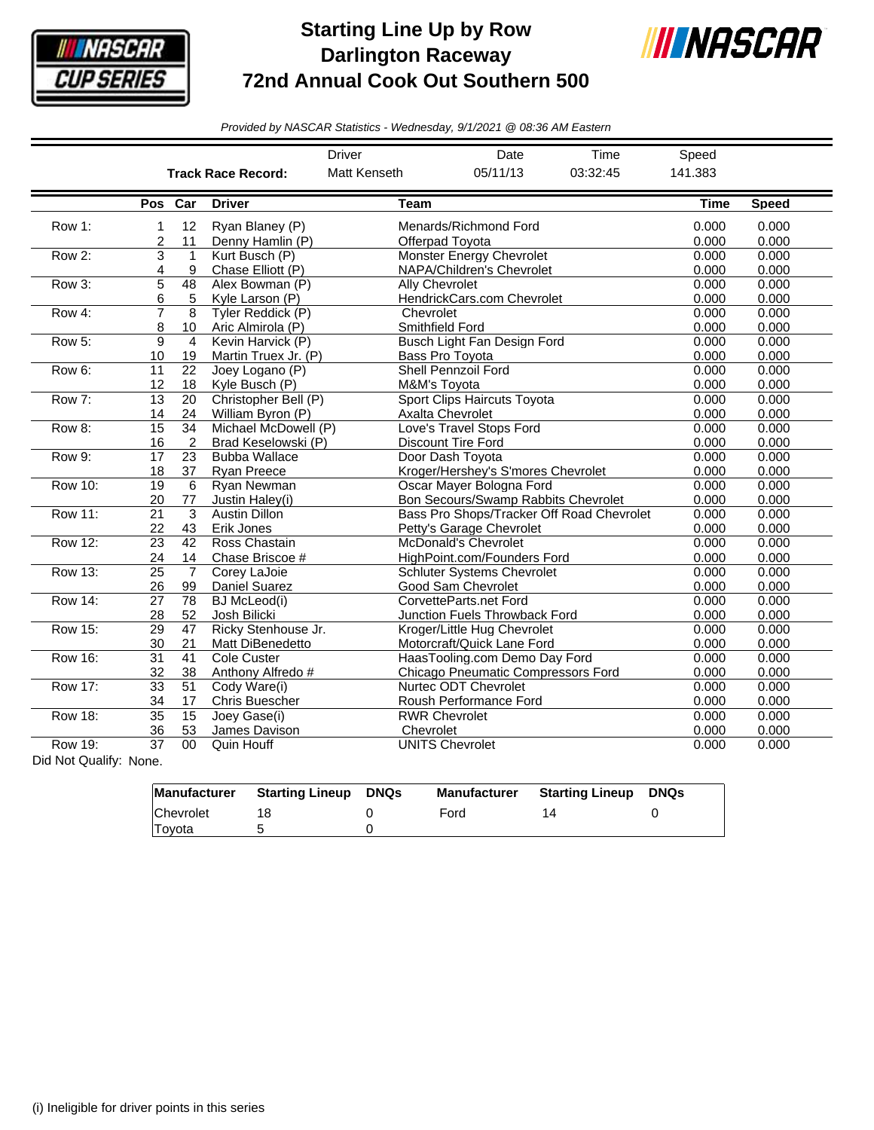

## **Starting Line Up by Row Darlington Raceway 72nd Annual Cook Out Southern 500**



*Provided by NASCAR Statistics - Wednesday, 9/1/2021 @ 08:36 AM Eastern*

|                |                       |                 |                           | <b>Driver</b>  | Date                                      | Time     | Speed       |              |
|----------------|-----------------------|-----------------|---------------------------|----------------|-------------------------------------------|----------|-------------|--------------|
|                |                       |                 | <b>Track Race Record:</b> | Matt Kenseth   | 05/11/13                                  | 03:32:45 | 141.383     |              |
|                |                       | Pos Car         | <b>Driver</b>             | <b>Team</b>    |                                           |          | <b>Time</b> | <b>Speed</b> |
| Row 1:         | 1                     | 12              | Ryan Blaney (P)           |                | Menards/Richmond Ford                     | 0.000    | 0.000       |              |
|                | $\overline{2}$        | 11              | Denny Hamlin (P)          |                | Offerpad Tovota                           | 0.000    | 0.000       |              |
| Row 2:         | 3                     | $\mathbf{1}$    | Kurt Busch (P)            |                | <b>Monster Energy Chevrolet</b>           | 0.000    | 0.000       |              |
|                | 4                     | 9               | Chase Elliott (P)         |                | NAPA/Children's Chevrolet                 | 0.000    | 0.000       |              |
| Row 3:         | 5                     | 48              | Alex Bowman (P)           | Ally Chevrolet |                                           | 0.000    | 0.000       |              |
|                | 6                     | 5               | Kyle Larson (P)           |                | HendrickCars.com Chevrolet                | 0.000    | 0.000       |              |
| Row 4:         | 7                     | 8               | Tyler Reddick (P)         | Chevrolet      |                                           | 0.000    | 0.000       |              |
|                | 8                     | 10              | Aric Almirola (P)         |                | Smithfield Ford                           | 0.000    | 0.000       |              |
| Row 5:         | $\overline{9}$        | 4               | Kevin Harvick (P)         |                | Busch Light Fan Design Ford               | 0.000    | 0.000       |              |
|                | 10                    | 19              | Martin Truex Jr. (P)      |                | Bass Pro Toyota                           | 0.000    | 0.000       |              |
| Row 6:         | 11                    | 22              | Joey Logano (P)           |                | <b>Shell Pennzoil Ford</b>                |          | 0.000       | 0.000        |
|                | 12                    | 18              | Kyle Busch (P)            | M&M's Toyota   |                                           |          | 0.000       | 0.000        |
| Row 7:         | 13                    | 20              | Christopher Bell (P)      |                | Sport Clips Haircuts Toyota               | 0.000    | 0.000       |              |
|                | 14                    | 24              | William Byron (P)         |                | Axalta Chevrolet                          | 0.000    | 0.000       |              |
| Row 8:         | 15                    | 34              | Michael McDowell (P)      |                | Love's Travel Stops Ford                  | 0.000    | 0.000       |              |
|                | 16                    | 2               | Brad Keselowski (P)       |                | <b>Discount Tire Ford</b>                 |          | 0.000       | 0.000        |
| <b>Row 9:</b>  | 17                    | 23              | <b>Bubba Wallace</b>      |                | Door Dash Tovota                          | 0.000    | 0.000       |              |
|                | 18                    | 37              | <b>Ryan Preece</b>        |                | Kroger/Hershey's S'mores Chevrolet        | 0.000    | 0.000       |              |
| <b>Row 10:</b> | 19                    | 6               | Ryan Newman               |                | Oscar Mayer Bologna Ford                  | 0.000    | 0.000       |              |
|                | 20                    | 77              | Justin Haley(i)           |                | Bon Secours/Swamp Rabbits Chevrolet       | 0.000    | 0.000       |              |
| <b>Row 11:</b> | 21                    | 3               | <b>Austin Dillon</b>      |                | Bass Pro Shops/Tracker Off Road Chevrolet | 0.000    | 0.000       |              |
|                | 22                    | 43              | Erik Jones                |                | Petty's Garage Chevrolet                  | 0.000    | 0.000       |              |
| Row 12:        | 23                    | 42              | Ross Chastain             |                | McDonald's Chevrolet                      | 0.000    | 0.000       |              |
|                | 24                    | 14              | Chase Briscoe #           |                | HighPoint.com/Founders Ford               | 0.000    | 0.000       |              |
| <b>Row 13:</b> | 25                    | $\overline{7}$  | Corey LaJoie              |                | <b>Schluter Systems Chevrolet</b>         | 0.000    | 0.000       |              |
|                | 26                    | 99              | <b>Daniel Suarez</b>      |                | Good Sam Chevrolet                        |          | 0.000       | 0.000        |
| <b>Row 14:</b> | $\overline{27}$       | 78              | <b>BJ</b> McLeod(i)       |                | CorvetteParts.net Ford                    |          |             | 0.000        |
|                | 28                    | 52              | Josh Bilicki              |                | <b>Junction Fuels Throwback Ford</b>      |          | 0.000       | 0.000        |
| <b>Row 15:</b> | 29                    | 47              | Ricky Stenhouse Jr.       |                | Kroger/Little Hug Chevrolet               |          | 0.000       | 0.000        |
|                | 30                    | 21              | Matt DiBenedetto          |                | Motorcraft/Quick Lane Ford                |          | 0.000       | 0.000        |
| <b>Row 16:</b> | $\overline{31}$<br>41 |                 | Cole Custer               |                | HaasTooling.com Demo Day Ford             |          | 0.000       | 0.000        |
|                | 32                    | 38              | Anthony Alfredo #         |                | <b>Chicago Pneumatic Compressors Ford</b> |          | 0.000       | 0.000        |
| Row 17:        | $\overline{33}$       | 51              | Cody Ware(i)              |                | Nurtec ODT Chevrolet                      |          |             | 0.000        |
|                | 34                    | 17              | <b>Chris Buescher</b>     |                | Roush Performance Ford                    |          | 0.000       | 0.000        |
| <b>Row 18:</b> | $\overline{35}$       | $\overline{15}$ | Joey Gase(i)              |                | <b>RWR Chevrolet</b>                      |          |             | 0.000        |
|                | 36                    | 53              | James Davison             | Chevrolet      |                                           |          | 0.000       | 0.000        |
| <b>Row 19:</b> | 37                    | 00              | Quin Houff                |                | <b>UNITS Chevrolet</b>                    |          | 0.000       | 0.000        |

Did Not Qualify: None.

|           | Manufacturer Starting Lineup | DNQs | Manufacturer | Starting Lineup | <b>DNQs</b> |
|-----------|------------------------------|------|--------------|-----------------|-------------|
| Chevrolet |                              |      | Ford         | 14              |             |
| Toyota    |                              |      |              |                 |             |